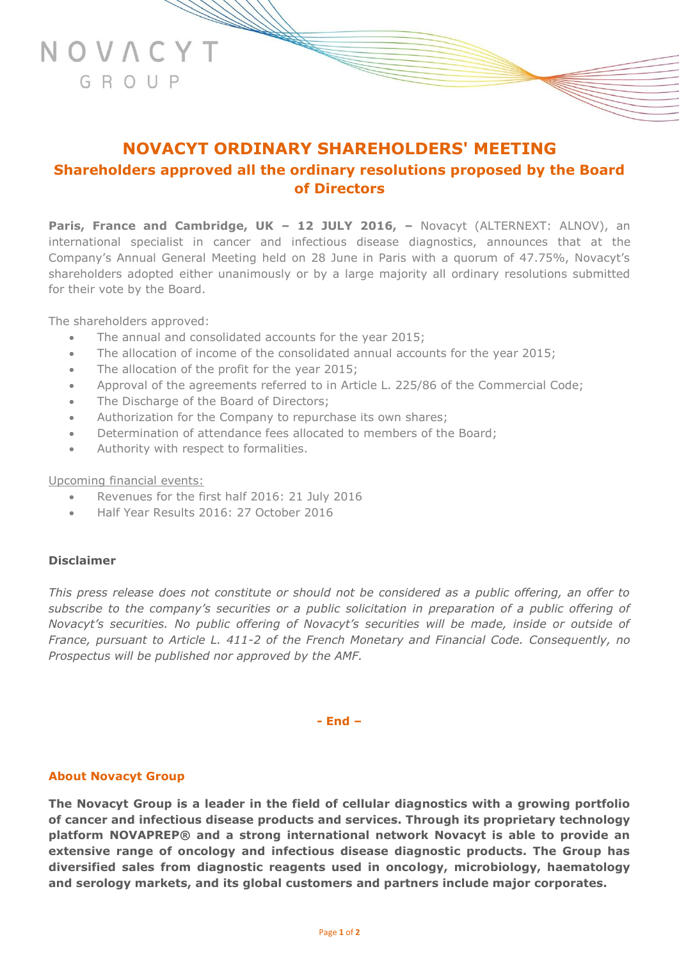# **NOVACYT ORDINARY SHAREHOLDERS' MEETING Shareholders approved all the ordinary resolutions proposed by the Board of Directors**

**Paris, France and Cambridge, UK – 12 JULY 2016, –** Novacyt (ALTERNEXT: ALNOV), an international specialist in cancer and infectious disease diagnostics, announces that at the Company's Annual General Meeting held on 28 June in Paris with a quorum of 47.75%, Novacyt's shareholders adopted either unanimously or by a large majority all ordinary resolutions submitted for their vote by the Board.

The shareholders approved:

NOVACYT

GROUP

- The annual and consolidated accounts for the year 2015;
- The allocation of income of the consolidated annual accounts for the year 2015;
- The allocation of the profit for the year 2015;
- Approval of the agreements referred to in Article L. 225/86 of the Commercial Code;
- The Discharge of the Board of Directors;
- Authorization for the Company to repurchase its own shares;
- Determination of attendance fees allocated to members of the Board;
- Authority with respect to formalities.

Upcoming financial events:

- Revenues for the first half 2016: 21 July 2016
- Half Year Results 2016: 27 October 2016

# **Disclaimer**

*This press release does not constitute or should not be considered as a public offering, an offer to subscribe to the company's securities or a public solicitation in preparation of a public offering of Novacyt's securities. No public offering of Novacyt's securities will be made, inside or outside of France, pursuant to Article L. 411-2 of the French Monetary and Financial Code. Consequently, no Prospectus will be published nor approved by the AMF.*

**- End –**

#### **About Novacyt Group**

**The Novacyt Group is a leader in the field of cellular diagnostics with a growing portfolio of cancer and infectious disease products and services. Through its proprietary technology platform NOVAPREP® and a strong international network Novacyt is able to provide an extensive range of oncology and infectious disease diagnostic products. The Group has diversified sales from diagnostic reagents used in oncology, microbiology, haematology and serology markets, and its global customers and partners include major corporates.**